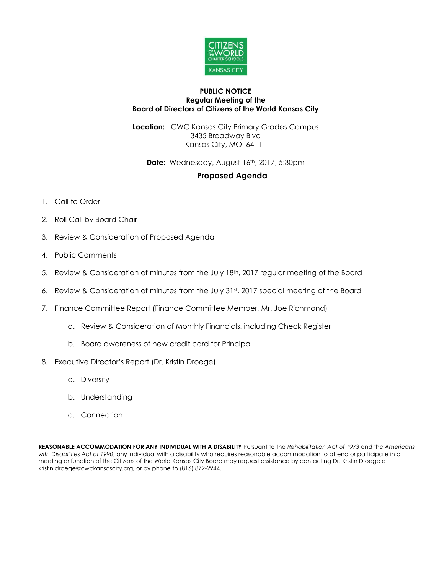

## **PUBLIC NOTICE Regular Meeting of the Board of Directors of Citizens of the World Kansas City**

**Location:** CWC Kansas City Primary Grades Campus 3435 Broadway Blvd Kansas City, MO 64111

**Date:** Wednesday, August 16th, 2017, 5:30pm

## **Proposed Agenda**

- 1. Call to Order
- 2. Roll Call by Board Chair
- 3. Review & Consideration of Proposed Agenda
- 4. Public Comments
- 5. Review & Consideration of minutes from the July 18<sup>th</sup>, 2017 regular meeting of the Board
- 6. Review & Consideration of minutes from the July 31st, 2017 special meeting of the Board
- 7. Finance Committee Report (Finance Committee Member, Mr. Joe Richmond)
	- a. Review & Consideration of Monthly Financials, including Check Register
	- b. Board awareness of new credit card for Principal
- 8. Executive Director's Report (Dr. Kristin Droege)
	- a. Diversity
	- b. Understanding
	- c. Connection

**REASONABLE ACCOMMODATION FOR ANY INDIVIDUAL WITH A DISABILITY** Pursuant to the *Rehabilitation Act of 1973* and the *Americans with Disabilities Act of 1990*, any individual with a disability who requires reasonable accommodation to attend or participate in a meeting or function of the Citizens of the World Kansas City Board may request assistance by contacting Dr. Kristin Droege at kristin.droege@cwckansascity.org, or by phone to (816) 872-2944.